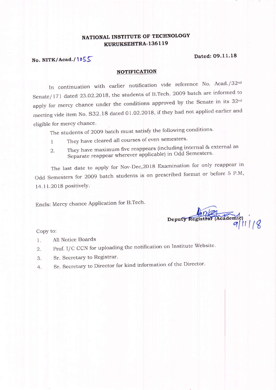## NATIONAL INSTITUTE OF TECHNOLOGY KURUKSEHTRA.1361 19

### Dated: 09.11.18

## No. NITK/Acad./1055

#### NOTIFICATION

In continuation with earlier notification vide reference No. Acad./32<sup>nd</sup> Senate/171 dated 23.02.2018, the students of B.Tech. 2009 batch are informed to apply for mercy chance under the conditions approved by the Senate in its  $32<sup>nd</sup>$ meeting vide item No. S32.18 dated 01.02.2018, if they had not applied earlier and eligible for mercy chance.

The students of 2009 batch must satisfy the following conditions.

- 1 They have cleared all courses of even semesters'
- 2. They have maximum five reappears {including internal & external as Separate reappear wherever applicable) in Odd Semesters.

The last date to apply for Nov-Dec, 2018 Examination for only reappear in Odd Semesters for 2009 batch students is on prescribed format or before 5 P.M, <sup>|</sup>4. I I.2O 18 PositivelY.

Encls: Mercy chance Application for B.Tech.

Deputy Registrar (Academi ff t(g

Copy to:

- 1. A11 Notice Boards
- 2. Prof. I/C CCN for uploading the notification on Institute Website.
- 3. Sr. Secretary to Registrar.
- 4. Sr. Secretary to Director for kind information of the Director.